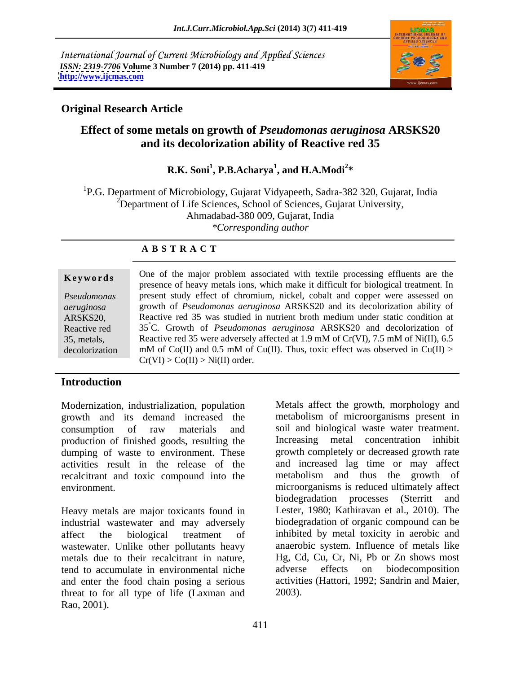International Journal of Current Microbiology and Applied Sciences *ISSN: 2319-7706* **Volume 3 Number 7 (2014) pp. 411-419 <http://www.ijcmas.com>**



### **Original Research Article**

### **Effect of some metals on growth of** *Pseudomonas aeruginosa* **ARSKS20 and its decolorization ability of Reactive red 35**

### **R.K. Soni<sup>1</sup> , P.B.Acharya<sup>1</sup> , and H.A.Modi<sup>2</sup> \***

1P.G. Department of Microbiology, Gujarat Vidyapeeth, Sadra-382 320, Gujarat, India  $2D$ epartment of Life Sciences, School of Sciences, Gujarat University, Ahmadabad-380 009, Gujarat, India *\*Corresponding author*

### **A B S T R A C T**

| Keywords       | One of the major problem associated with textile processing effluents are the       |  |  |
|----------------|-------------------------------------------------------------------------------------|--|--|
|                | presence of heavy metals ions, which make it difficult for biological treatment. In |  |  |
| Pseudomonas    | present study effect of chromium, nickel, cobalt and copper were assessed on        |  |  |
| aeruginosa     | growth of <i>Pseudomonas aeruginosa</i> ARSKS20 and its decolorization ability of   |  |  |
| ARSKS20,       | Reactive red 35 was studied in nutrient broth medium under static condition at      |  |  |
| Reactive red   | 35 C. Growth of <i>Pseudomonas aeruginosa</i> ARSKS20 and decolorization of         |  |  |
| 35, metals,    | Reactive red 35 were adversely affected at 1.9 mM of Cr(VI), 7.5 mM of Ni(II), 6.5  |  |  |
| decolorization | mM of Co(II) and 0.5 mM of Cu(II). Thus, toxic effect was observed in Cu(II) >      |  |  |
|                | $Cr(VI) > Co(II) > Ni(II)$ order.                                                   |  |  |

### **Introduction**

Modernization, industrialization, population Metals affect the growth, morphology and growth and its demand increased the production of finished goods, resulting the dumping of waste to environment. These recalcitrant and toxic compound into the

Heavy metals are major toxicants found in industrial wastewater and may adversely wastewater. Unlike other pollutants heavy metals due to their recalcitrant in nature, tend to accumulate in environmental niche and enter the food chain posing a serious threat to for all type of life (Laxman and

consumption of raw materials and soil and biological waste water treatment. activities result in the release of the and increased lag time or may affect environment. microorganisms is reduced ultimately affect affect the biological treatment of inhibited by metal toxicity in aerobic and Modernization, industrialization, population<br>
growth and its demand increased the metabolism of incorogramism present in<br>
growth consumption of raw materials and soil and biological waste water treatment.<br>
production of fi metabolism of microorganisms present in Increasing metal concentration inhibit growth completely or decreased growth rate metabolism and thus the growth of biodegradation processes (Sterritt and Lester, 1980; Kathiravan et al., 2010). The biodegradation of organic compound can be anaerobic system. Influence of metals like Hg, Cd, Cu, Cr, Ni, Pb or Zn shows most adverse effects on biodecomposition activities (Hattori, 1992; Sandrin and Maier, 2003).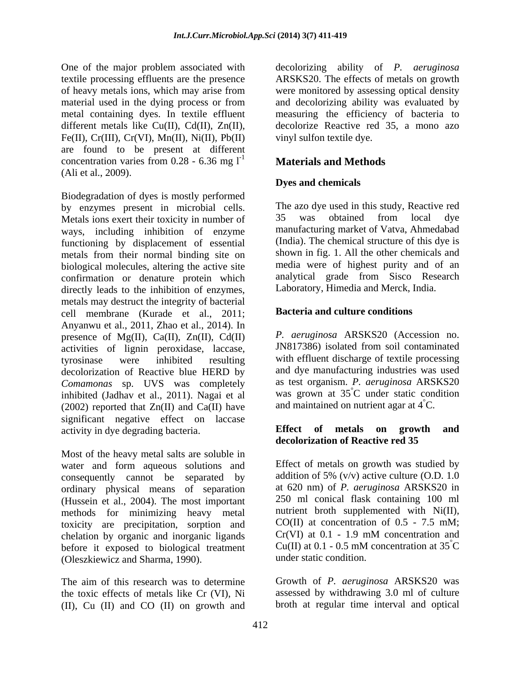Fe(II), Cr(III), Cr(VI), Mn(II), Ni(II), Pb(II) are found to be present at different concentration varies from 0.28 - 6.36 mg  $I<sup>-1</sup>$  **Materials and Methods** (Ali et al., 2009). **Dyes and chemicals** 

Biodegradation of dyes is mostly performed by enzymes present in microbial cells. The azo dye used in this study, Reacti<br>Metals jons evert their toxicity in number of 35 was obtained from local Metals ions exert their toxicity in number of 35 was obtained from local dye ways, including inhibition of enzyme functioning by displacement of essential metals from their normal binding site on biological molecules, altering the active site confirmation or denature protein which directly leads to the inhibition of enzymes, metals may destruct the integrity of bacterial cell membrane (Kurade et al., 2011; Anyanwu et al., 2011, Zhao et al., 2014). In<br>presence of Mg(II). Ca(II). Zn(II). Cd(II) P. aeruginosa ARSKS20 (Accession no. presence of Mg(II), Ca(II), Zn(II), Cd(II)  $P$ . *aeruginosa* ARSKS20 (Accession no.<br>activities of lignin peroxidase laccase JN817386) isolated from soil contaminated activities of lignin peroxidase, laccase, tyrosinase were inhibited resulting with effluent discharge of textile processing decolorization of Reactive blue HERD by *Comamonas* sp. UVS was completely inhibited (Jadhav et al., 2011). Nagai et al  $(2002)$  reported that  $Zn(II)$  and  $Ca(II)$  have significant negative effect on laccase<br>activity in due degrading bacteria<br>**Effect of metals on growth and** activity in dye degrading bacteria.

Most of the heavy metal salts are soluble in water and form aqueous solutions and consequently cannot be separated by addition of 5%  $(v/v)$  active culture (O.D. 1.0 ordinary physical means of separation (Hussein et al., 2004). The most important methods for minimizing heavy metal toxicity are precipitation, sorption and  $CO(II)$  at concentration of 0.5 - 7.5 mM;<br>chelation by organic and inorganic ligands  $Cr(VI)$  at 0.1 - 1.9 mM concentration and chelation by organic and inorganic ligands  $Cr(VI)$  at 0.1 - 1.9 mM concentration and before it exposed to biological treatment  $Cu(II)$  at 0.1 - 0.5 mM concentration at  $35^{\circ}$ C before it exposed to biological treatment (Oleszkiewicz and Sharma, 1990).

The aim of this research was to determine the toxic effects of metals like Cr (VI), Ni (II), Cu (II) and CO (II) on growth and

One of the major problem associated with decolorizing ability of *P. aeruginosa* textile processing effluents are the presence ARSKS20. The effects of metals on growth of heavy metals ions, which may arise from were monitored by assessing optical density material used in the dying process or from and decolorizing ability was evaluated by metal containing dyes. In textile effluent measuring the efficiency of bacteria to different metals like Cu(II), Cd(II), Zn(II), decolorize Reactive red 35, a mono azo vinyl sulfon textile dye.

## **Materials and Methods**

### **Dyes and chemicals**

The azo dye used in this study, Reactive red 35 was obtained from local dye manufacturing market of Vatva, Ahmedabad (India). The chemical structure of this dye is shown in fig. 1. All the other chemicals and media were of highest purity and of an analytical grade from Sisco Research Laboratory, Himedia and Merck, India.

### **Bacteria and culture conditions**

*P. aeruginosa* ARSKS20 (Accession no. JN817386) isolated from soil contaminated and dye manufacturing industries was used as test organism. *P. aeruginosa* ARSKS20 was grown at 35°C under static condition °C under static condition and maintained on nutrient agar at  $4^{\circ}$ C.

### **Effect** of **metals** on **growth decolorization of Reactive red 35**

Effect of metals on growth was studied by at 620 nm) of *P. aeruginosa* ARSKS20 in 250 ml conical flask containing 100 ml nutrient broth supplemented with Ni(II), CO(II) at concentration of 0.5 - 7.5 mM; Cr(VI) at 0.1 - 1.9 mM concentration and Cu(II) at 0.1 - 0.5 mM concentration at  $35^{\circ}$ C  $\rm^{\circ}C$ under static condition.

Growth of *P. aeruginosa* ARSKS20 was assessed by withdrawing 3.0 ml of culture broth at regular time interval and optical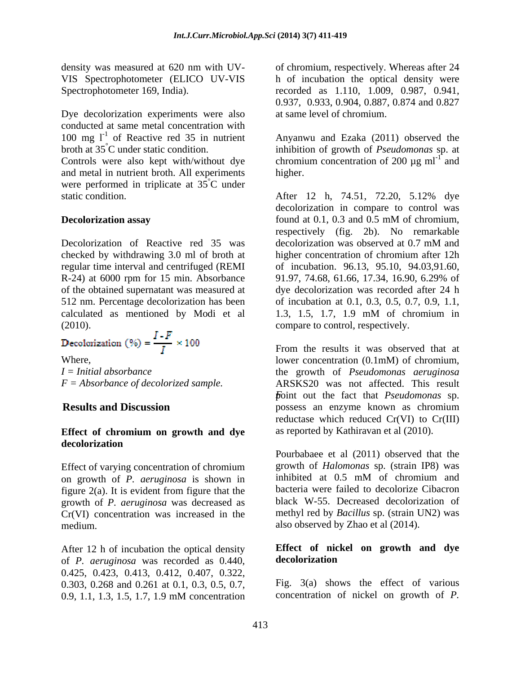Dye decolorization experiments were also conducted at same metal concentration with 100 mg  $l^{-1}$  of Reactive red 35 in nutrient broth at 35°C under static condition. inhibition of growth of *Pseudomonas* sp. at

Controls were also kept with/without dye and metal in nutrient broth. All experiments were performed in triplicate at  $35^{\circ}$ C under <sup>o</sup>C under

Decolorization of Reactive red 35 was decolorization was observed at 0.7 mM and regular time interval and centrifuged (REMI R-24) at 6000 rpm for 15 min. Absorbance 91.97, 74.68, 61.66, 17.34, 16.90, 6.29% of calculated as mentioned by Modi et al 1.3, 1.5, 1.7, 1.9 mM of chromium in

$$
\text{Decolorization (%)} = \frac{I - F}{I} \times 100
$$

### **Effect of chromium on growth and dye decolorization**

Effect of varying concentration of chromium<br>on growth of  $P$  *aeruginosa* is shown in inhibited at 0.5 mM of chromium and on growth of *P. aeruginosa* is shown in figure 2(a). It is evident from figure that the growth of *P. aeruginosa* was decreased as Cr(VI) concentration was increased in the medium. also observed by Zhao et al (2014).

After 12 h of incubation the optical density<br>
of P *geruainosa* was recorded as 0.440 **decolorization** of *P. aeruginosa* was recorded as 0.440, 0.425, 0.423, 0.413, 0.412, 0.407, 0.322, 0.303, 0.268 and 0.261 at 0.1, 0.3, 0.5, 0.7, 0.9, 1.1, 1.3, 1.5, 1.7, 1.9 mM concentration concentration of nickel on growth of  $P$ .

density was measured at 620 nm with UV- of chromium, respectively. Whereas after 24 VIS Spectrophotometer (ELICO UV-VIS h of incubation the optical density were Spectrophotometer 169, India). recorded as 1.110, 1.009, 0.987, 0.941, 0.937, 0.933, 0.904, 0.887, 0.874 and 0.827 at same level of chromium.

of Reactive red 35 in nutrient Anyanwu and Ezaka (2011) observed the chromium concentration of 200  $\mu$ g ml<sup>-1</sup> and and higher. **https://www.franchiltherations.** 

static condition. After 12 h, 74.51, 72.20, 5.12% dye **Decolorization assay** found at 0.1, 0.3 and 0.5 mM of chromium, checked by withdrawing 3.0 ml of broth at higher concentration of chromium after 12h of the obtained supernatant was measured at dye decolorization was recorded after 24 h 512 nm. Percentage decolorization has been of incubation at 0.1, 0.3, 0.5, 0.7, 0.9, 1.1, (2010). compare to control, respectively. decolorization in compare to control was found at 0.1, 0.3 and 0.5 mM of chromium, respectively (fig. 2b). No remarkable decolorization was observed at 0.7 mM and of incubation. 96.13, 95.10, 94.03,91.60, 91.97, 74.68, 61.66, 17.34, 16.90, 6.29% of 1.3, 1.5, 1.7, 1.9 mM of chromium in

Where, **lower** concentration (0.1mM) of chromium, *I = Initial absorbance* the growth of *Pseudomonas aeruginosa F = Absorbance of decolorized sample.* ARSKS20 was not affected. This result *F* point out the fact that *Pseudomonas* sp. **Results and Discussion** possess an enzyme known as chromium From the results it was observed that at reductase which reduced Cr(VI) to Cr(III) as reported by Kathiravan et al (2010).

> Pourbabaee et al (2011) observed that the growth of *Halomonas* sp. (strain IP8) was inhibited at 0.5 mM of chromium and bacteria were failed to decolorize Cibacron black W-55. Decreased decolorization of methyl red by *Bacillus* sp. (strain UN2) was

### **Effect of nickel on growth and dye decolorization**

Fig. 3(a) shows the effect of various concentration of nickel on growth of *P.*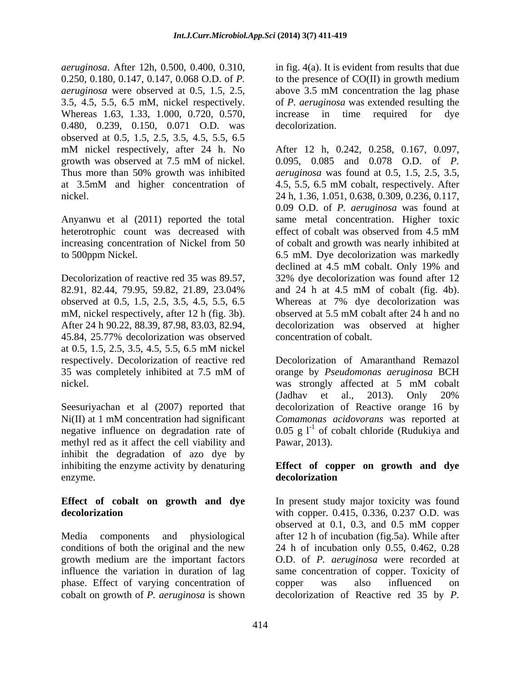*aeruginosa*. After 12h, 0.500, 0.400, 0.310, in fig. 4(a). It is evident from results that due 0.250, 0.180, 0.147, 0.147, 0.068 O.D. of *P.*  to the presence of CO(II) in growth medium *aeruginosa* were observed at 0.5, 1.5, 2.5, above 3.5 mM concentration the lag phase 3.5, 4.5, 5.5, 6.5 mM, nickel respectively. of *P. aeruginosa* was extended resulting the Whereas 1.63, 1.33, 1.000, 0.720, 0.570, increase in time required for dye 0.480, 0.239, 0.150, 0.071 O.D. was decolorization. observed at 0.5, 1.5, 2.5, 3.5, 4.5, 5.5, 6.5 Thus more than 50% growth was inhibited at 3.5mM and higher concentration of 4.5, 5.5, 6.5 mM cobalt, respectively. After

Anyanwu et al (2011) reported the total heterotrophic count was decreased with effect of cobalt was observed from 4.5 mM increasing concentration of Nickel from 50

Decolorization of reactive red 35 was 89.57, mM, nickel respectively, after 12 h (fig. 3b). observed at 5.5 mM cobalt after 24 h and no 45.84, 25.77% decolorization was observed at 0.5, 1.5, 2.5, 3.5, 4.5, 5.5, 6.5 mM nickel respectively. Decolorization of reactive red

methyl red as it affect the cell viability and Pawar, 2013). inhibit the degradation of azo dye by inhibiting the enzyme activity by denaturing **Effect of copper on growth and dye** enzyme.

growth medium are the important factors phase. Effect of varying concentration of copper was also influenced on

above 3.5 mM concentration the lag phase increase in time required for dye decolorization.

mM nickel respectively, after 24 h. No After 12 h, 0.242, 0.258, 0.167, 0.097, growth was observed at 7.5 mM of nickel.  $0.095$ ,  $0.085$  and  $0.078$  O.D. of P. nickel. 24 h, 1.36, 1.051, 0.638, 0.309, 0.236, 0.117, to 500ppm Nickel. 6.5 mM. Dye decolorization was markedly 82.91, 82.44, 79.95, 59.82, 21.89, 23.04% and 24 h at 4.5 mM of cobalt (fig. 4b). observed at 0.5, 1.5, 2.5, 3.5, 4.5, 5.5, 6.5 Whereas at 7% dye decolorization was After 24 h 90.22, 88.39, 87.98, 83.03, 82.94, decolorization was observed at higher 0.095, 0.085 and 0.078 O.D. of*P. aeruginosa* was found at 0.5, 1.5, 2.5, 3.5, 4.5, 5.5, 6.5 mM cobalt, respectively. After 0.09 O.D. of *P. aeruginosa* was found at same metal concentration. Higher toxic effect of cobalt was observed from 4.5 mM of cobalt and growth was nearly inhibited at declined at 4.5 mM cobalt. Only 19% and 32% dye decolorization was found after 12 observed at 5.5 mM cobalt after 24 h and no concentration of cobalt.

35 was completely inhibited at 7.5 mM of orange by *Pseudomonas aeruginosa* BCH nickel. was strongly affected at 5 mM cobalt Seesuriyachan et al (2007) reported that decolorization of Reactive orange 16 by Ni(II) at 1 mM concentration had significant *Comamonas acidovorans* was reported at negative influence on degradation rate of  $0.05 \text{ g l}^{-1}$  of cobalt chloride (Rudukiya and Decolorization of Amaranthand Remazol orange by *Pseudomonas aeruginosa* BCH (Jadhav et al., 2013). Only 20% Pawar, 2013).

# **decolorization**

**Effect of cobalt on growth and dye** In present study major toxicity was found **decolorization** with copper. 0.415, 0.336, 0.237 O.D. was Media components and physiological after 12 h of incubation (fig.5a). While after conditions of both the original and the new 24 h of incubation only 0.55, 0.462, 0.28 influence the variation in duration of lag same concentration of copper. Toxicity of cobalt on growth of *P. aeruginosa* is shown decolorization of Reactive red 35 by *P.* observed at 0.1, 0.3, and 0.5 mM copper O.D. of *P. aeruginosa* were recorded at copper was also influenced on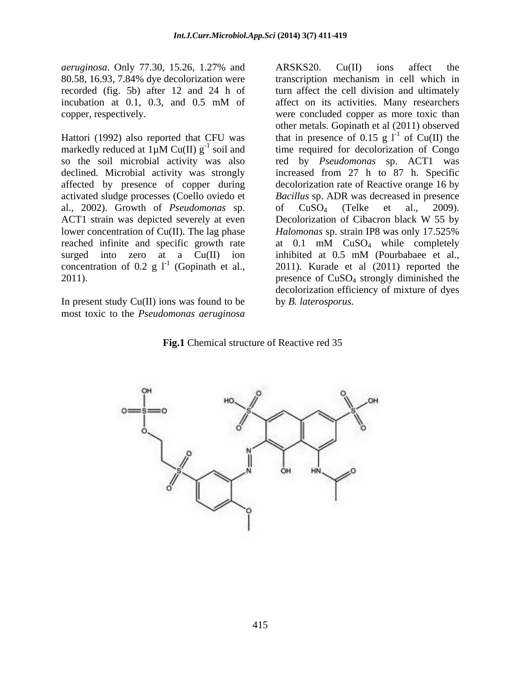80.58, 16.93, 7.84% dye decolorization were

al., 2002). Growth of *Pseudomonas* sp. ACT1 strain was depicted severely at even Decolorization of Cibacron black W 55 by reached infinite and specific growth rate  $at \ 0.1 \ \text{mM}$   $CuSO<sub>4</sub>$  while completely surged into zero at a Cu(II) ion inhibited at 0.5 mM (Pourbabaee et al., concentration of 0.2 g  $1^1$  (Gopinath et al.,

In present study Cu(II) ions was found to be most toxic to the *Pseudomonas aeruginosa*

*aeruginosa*. Only 77.30, 15.26, 1.27% and recorded (fig. 5b) after 12 and 24 h of turn affect the cell division and ultimately incubation at 0.1, 0.3, and 0.5 mM of affect on its activities. Many researchers copper, respectively. were concluded copper as more toxic than Hattori (1992) also reported that CFU was that in presence of 0.15 g  $I<sup>-1</sup>$  of Cu(II) the markedly reduced at  $1\mu$ M Cu(II)  $g^{-1}$  soil and time required for decolorization of Congo <sup>-1</sup> soil and time required for decolorization of Congo so the soil microbial activity was also red by *Pseudomonas* sp. ACT1 was declined. Microbial activity was strongly increased from 27 h to 87 h. Specific affected by presence of copper during decolorization rate of Reactive orange 16 by activated sludge processes (Coello oviedo et *Bacillus* sp. ADR was decreased in presence lower concentration of Cu(II). The lag phase *Halomonas* sp. strain IP8 was only 17.525% (Gopinath et al., 2011). Kurade et al (2011) reported the 2011). presence of CuSO4 strongly diminished the ARSKS20. Cu(II) ions affect the transcription mechanism in cell which in affect on its activities. Many researchers other metals. Gopinath et al (2011) observed of Cu(II) the of  $CuSO_4$  (Telke et al., 2009). Decolorization of Cibacron black W 55 by at 0.1 mM CuSO4 while completely inhibited at 0.5 mM (Pourbabaee et al., decolorization efficiency of mixture of dyes by *B. laterosporus*.

### **Fig.1** Chemical structure of Reactive red 35

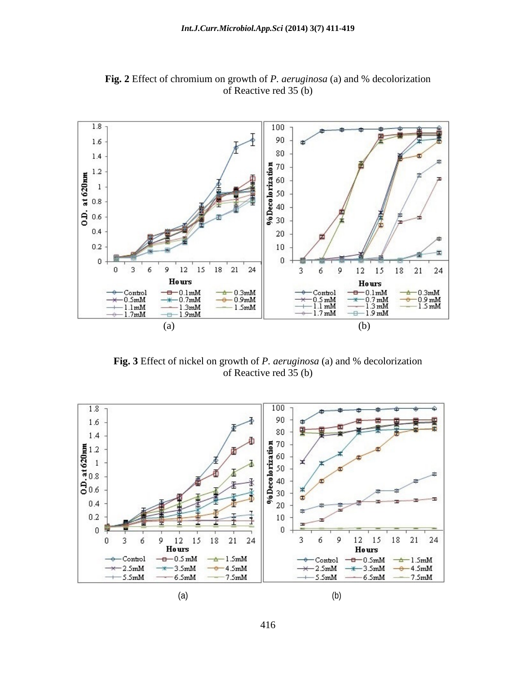

**Fig. 2** Effect of chromium on growth of *P. aeruginosa* (a) and % decolorization of Reactive red 35 (b)

**Fig. 3** Effect of nickel on growth of *P. aeruginosa* (a) and % decolorization of Reactive red 35 (b)



416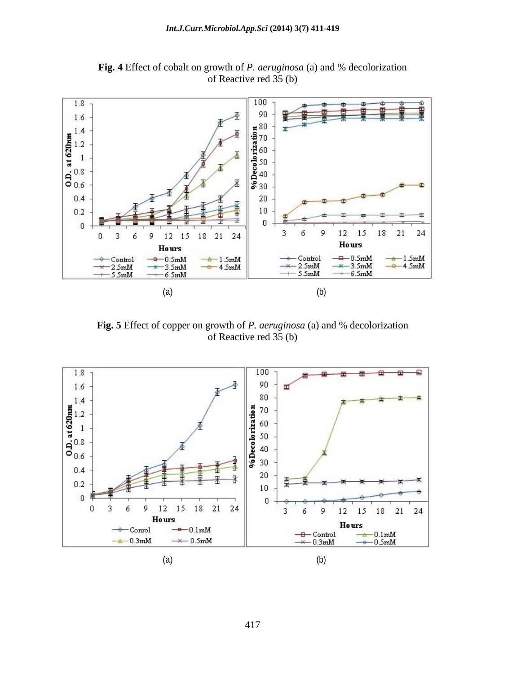

**Fig. 4** Effect of cobalt on growth of *P. aeruginosa* (a) and % decolorization of Reactive red 35 (b)

**Fig. 5** Effect of copper on growth of *P. aeruginosa* (a) and % decolorization of Reactive red 35 (b)

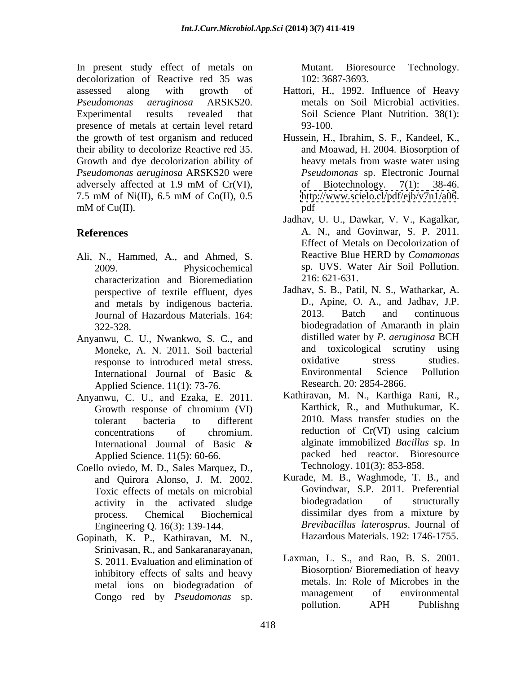In present study effect of metals on Mutant. Bioresource Technology. decolorization of Reactive red 35 was 102:3687-3693. assessed along with growth of Hattori, H., 1992. Influence of Heavy *Pseudomonas aeruginosa* ARSKS20. metals on Soil Microbial activities. Experimental results revealed that Soil Science Plant Nutrition. 38(1): presence of metals at certain level retard 93-100. the growth of test organism and reduced Hussein, H., Ibrahim, S. F., Kandeel, K., their ability to decolorize Reactive red 35. Growth and dye decolorization ability of heavy metals from waste water using *Pseudomonas aeruginosa* ARSKS20 were adversely affected at 1.9 mM of Cr(VI), of Biotechnology. 7(1): 38-46. 7.5 mM of Ni(II), 6.5 mM of Co(II), 0.5 http://www.scielo.cl/pdf/ejb/v7n1/a06. mM of Cu(II). pdf yiesel stoly effect of metallic on Mutant. Biorecond in the second distribution of Racent and the specific of the specific of the specific of the specific of the specific of the specific of the specific of the specific of

- Ali, N., Hammed, A., and Ahmed, S. characterization and Bioremediation perspective of textile effluent, dyes Journal of Hazardous Materials. 164:
- Applied Science. 11(1): 73-76.
- Anyanwu, C. U., and Ezaka, E. 2011. Applied Science. 11(5): 60-66.
- Coello oviedo, M. D., Sales Marquez, D., and Quirora Alonso, J. M. 2002. activity in the activated sludge Engineering Q. 16(3): 139-144.
- Gopinath, K. P., Kathiravan, M. N., Srinivasan, R., and Sankaranarayanan, S. 2011. Evaluation and elimination of inhibitory effects of salts and heavy

- 93-100.
- and Moawad, H. 2004. Biosorption of heavy metals from waste water using *Pseudomonas* sp. Electronic Journal of Biotechnology. 7(1): 38-46. <http://www.scielo.cl/pdf/ejb/v7n1/a06>. pdf
- **References** A. N., and Govinwar, S. P. 2011. 2009. Physicochemical sp. UVS. Water Air Soil Pollution. Jadhav, U. U., Dawkar, V. V., Kagalkar, Effect of Metals on Decolorization of Reactive Blue HERD by *Comamonas* 216: 621-631.
- and metals by indigenous bacteria. D., Apine, O. A., and Jadhav, J.P.<br>
Iournal of Hazardous Materials 164. 2013. Batch and continuous 322-328. biodegradation of Amaranth in plain Anyanwu, C. U., Nwankwo, S. C., and distilled water by P. aeruginosa BCH Moneke, A. N. 2011. Soil bacterial and toxicological scrutiny using<br>response to introduced metal stress oxidative stress studies. response to introduced metal stress.<br>
International Journal of Basic & Environmental Science Pollution International Journal of Basic & Environmental Science Pollution Jadhav, S. B., Patil, N. S., Watharkar, A. D., Apine, O. A., and Jadhav, J.P. 2013. Batch and continuous distilled water by *P. aeruginosa* BCH and toxicological scrutiny using oxidative stress studies. Environmental Science Pollution Research. 20: 2854-2866.
	- Growth response of chromium (VI) Karthick, R., and Muthukumar, K. tolerant bacteria to different 2010. Mass transfer studies on the concentrations of chromium. reduction of Cr(VI) using calcium International Journal of Basic & alginate immobilized *Bacillus* sp. In Kathiravan, M. N., Karthiga Rani, R., Karthick, R., and Muthukumar, K. reduction of Cr(VI) using calcium alginate immobilized *Bacillus*sp. In packed bed reactor. Bioresource Technology. 101(3): 853-858.
	- Toxic effects of metals on microbial Govindwar, S.P. 2011. Preferential<br>activity in the activated sludge biodegradation of structurally process. Chemical Biochemical dissimilar dyes from a mixture by Kurade, M. B., Waghmode, T. B., and Govindwar, S.P. 2011. Preferential biodegradation of structurally dissimilar dyes from a mixture by *Brevibacillus laterosprus*. Journal of Hazardous Materials. 192: 1746-1755.
	- metal ions on biodegradation of metals. In: Role of Microbes in the<br>Congo red by Bseudomongs sp. management of environmental Laxman, L. S., and Rao, B. S. 2001. Biosorption/ Bioremediation of heavy metals. In: Role of Microbes in the management of environmental pollution. APH Publishng